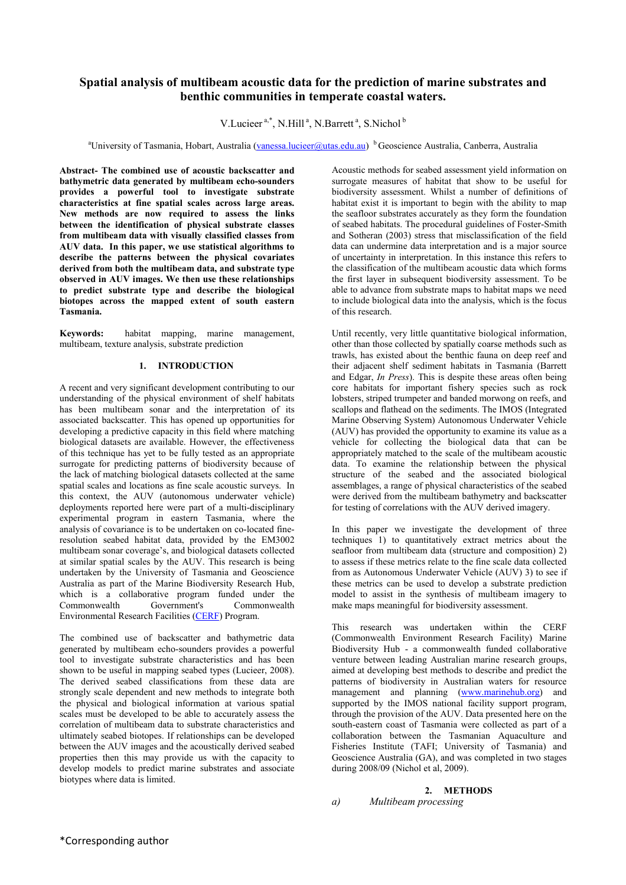# **Spatial analysis of multibeam acoustic data for the prediction of marine substrates and benthic communities in temperate coastal waters.**

V.Lucieer<sup>a,\*</sup>, N.Hill<sup>a</sup>, N.Barrett<sup>a</sup>, S.Nichol<sup>b</sup>

<sup>a</sup>University of Tasmania, Hobart, Australia ([vanessa.lucieer@utas.edu.au\)](mailto:vanessa.lucieer@utas.edu.au) <sup>b</sup> Geoscience Australia, Canberra, Australia

**Abstract- The combined use of acoustic backscatter and bathymetric data generated by multibeam echo-sounders provides a powerful tool to investigate substrate characteristics at fine spatial scales across large areas. New methods are now required to assess the links between the identification of physical substrate classes from multibeam data with visually classified classes from AUV data. In this paper, we use statistical algorithms to describe the patterns between the physical covariates derived from both the multibeam data, and substrate type observed in AUV images. We then use these relationships to predict substrate type and describe the biological biotopes across the mapped extent of south eastern Tasmania.**

**Keywords:** habitat mapping, marine management, multibeam, texture analysis, substrate prediction

# **1. INTRODUCTION**

A recent and very significant development contributing to our understanding of the physical environment of shelf habitats has been multibeam sonar and the interpretation of its associated backscatter. This has opened up opportunities for developing a predictive capacity in this field where matching biological datasets are available. However, the effectiveness of this technique has yet to be fully tested as an appropriate surrogate for predicting patterns of biodiversity because of the lack of matching biological datasets collected at the same spatial scales and locations as fine scale acoustic surveys. In this context, the AUV (autonomous underwater vehicle) deployments reported here were part of a multi-disciplinary experimental program in eastern Tasmania, where the analysis of covariance is to be undertaken on co-located fineresolution seabed habitat data, provided by the EM3002 multibeam sonar coverage's, and biological datasets collected at similar spatial scales by the AUV. This research is being undertaken by the University of Tasmania and Geoscience Australia as part of the Marine Biodiversity Research Hub, which is a collaborative program funded under the Commonwealth Government's Commonwealth Environmental Research Facilities ([CERF\)](http://www.marinehub.org/) Program.

The combined use of backscatter and bathymetric data generated by multibeam echo-sounders provides a powerful tool to investigate substrate characteristics and has been shown to be useful in mapping seabed types (Lucieer, 2008). The derived seabed classifications from these data are strongly scale dependent and new methods to integrate both the physical and biological information at various spatial scales must be developed to be able to accurately assess the correlation of multibeam data to substrate characteristics and ultimately seabed biotopes. If relationships can be developed between the AUV images and the acoustically derived seabed properties then this may provide us with the capacity to develop models to predict marine substrates and associate biotypes where data is limited.

Acoustic methods for seabed assessment yield information on surrogate measures of habitat that show to be useful for biodiversity assessment. Whilst a number of definitions of habitat exist it is important to begin with the ability to map the seafloor substrates accurately as they form the foundation of seabed habitats. The procedural guidelines of Foster-Smith and Sotheran (2003) stress that misclassification of the field data can undermine data interpretation and is a major source of uncertainty in interpretation. In this instance this refers to the classification of the multibeam acoustic data which forms the first layer in subsequent biodiversity assessment. To be able to advance from substrate maps to habitat maps we need to include biological data into the analysis, which is the focus of this research.

Until recently, very little quantitative biological information, other than those collected by spatially coarse methods such as trawls, has existed about the benthic fauna on deep reef and their adjacent shelf sediment habitats in Tasmania (Barrett and Edgar, *In Press*). This is despite these areas often being core habitats for important fishery species such as rock lobsters, striped trumpeter and banded morwong on reefs, and scallops and flathead on the sediments. The IMOS (Integrated Marine Observing System) Autonomous Underwater Vehicle (AUV) has provided the opportunity to examine its value as a vehicle for collecting the biological data that can be appropriately matched to the scale of the multibeam acoustic data. To examine the relationship between the physical structure of the seabed and the associated biological assemblages, a range of physical characteristics of the seabed were derived from the multibeam bathymetry and backscatter for testing of correlations with the AUV derived imagery.

In this paper we investigate the development of three techniques 1) to quantitatively extract metrics about the seafloor from multibeam data (structure and composition) 2) to assess if these metrics relate to the fine scale data collected from as Autonomous Underwater Vehicle (AUV) 3) to see if these metrics can be used to develop a substrate prediction model to assist in the synthesis of multibeam imagery to make maps meaningful for biodiversity assessment.

This research was undertaken within the CERF (Commonwealth Environment Research Facility) Marine Biodiversity Hub - a commonwealth funded collaborative venture between leading Australian marine research groups, aimed at developing best methods to describe and predict the patterns of biodiversity in Australian waters for resource management and planning [\(www.marinehub.org\)](http://www.marinehub.org/) and supported by the IMOS national facility support program, through the provision of the AUV. Data presented here on the south-eastern coast of Tasmania were collected as part of a collaboration between the Tasmanian Aquaculture and Fisheries Institute (TAFI; University of Tasmania) and Geoscience Australia (GA), and was completed in two stages during 2008/09 (Nichol et al, 2009).

## **2. METHODS**

```
a) Multibeam processing
```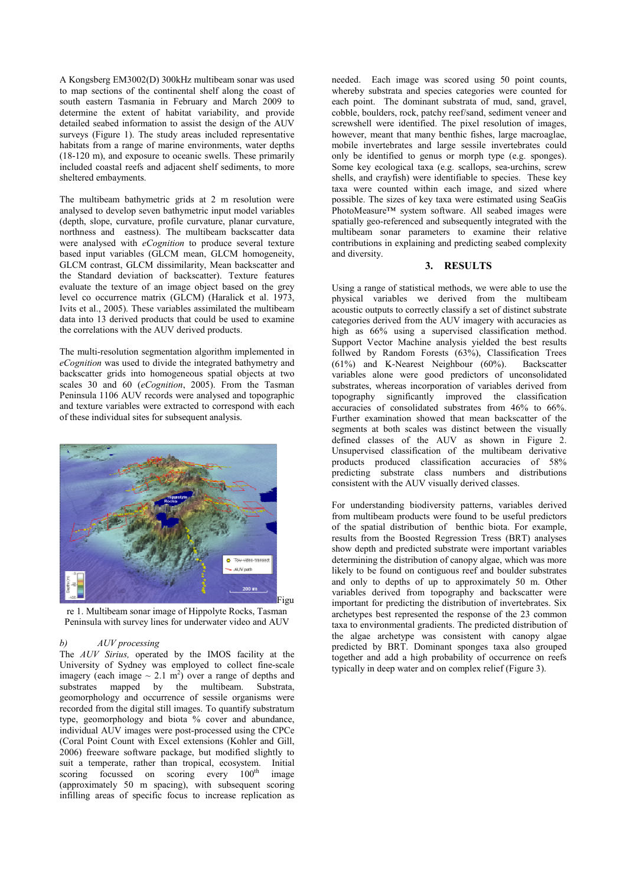A Kongsberg EM3002(D) 300kHz multibeam sonar was used to map sections of the continental shelf along the coast of south eastern Tasmania in February and March 2009 to determine the extent of habitat variability, and provide detailed seabed information to assist the design of the AUV surveys (Figure 1). The study areas included representative habitats from a range of marine environments, water depths (18-120 m), and exposure to oceanic swells. These primarily included coastal reefs and adjacent shelf sediments, to more sheltered embayments.

The multibeam bathymetric grids at 2 m resolution were analysed to develop seven bathymetric input model variables (depth, slope, curvature, profile curvature, planar curvature, northness and eastness). The multibeam backscatter data were analysed with *eCognition* to produce several texture based input variables (GLCM mean, GLCM homogeneity, GLCM contrast, GLCM dissimilarity, Mean backscatter and the Standard deviation of backscatter). Texture features evaluate the texture of an image object based on the grey level co occurrence matrix (GLCM) (Haralick et al. 1973, Ivits et al., 2005). These variables assimilated the multibeam data into 13 derived products that could be used to examine the correlations with the AUV derived products.

The multi-resolution segmentation algorithm implemented in *eCognition* was used to divide the integrated bathymetry and backscatter grids into homogeneous spatial objects at two scales 30 and 60 (*eCognition*, 2005). From the Tasman Peninsula 1106 AUV records were analysed and topographic and texture variables were extracted to correspond with each of these individual sites for subsequent analysis.



re 1. Multibeam sonar image of Hippolyte Rocks, Tasman Peninsula with survey lines for underwater video and AUV

#### *b) AUV processing*

The *AUV Sirius,* operated by the IMOS facility at the University of Sydney was employed to collect fine-scale imagery (each image  $\sim 2.1 \text{ m}^2$ ) over a range of depths and substrates mapped by the multibeam. Substrata, geomorphology and occurrence of sessile organisms were recorded from the digital still images. To quantify substratum type, geomorphology and biota % cover and abundance, individual AUV images were post-processed using the CPCe (Coral Point Count with Excel extensions (Kohler and Gill, 2006) freeware software package, but modified slightly to suit a temperate, rather than tropical, ecosystem. Initial scoring focussed on scoring every 100<sup>th</sup> image scoring focussed on scoring every 100<sup>th</sup> image (approximately 50 m spacing), with subsequent scoring infilling areas of specific focus to increase replication as

needed. Each image was scored using 50 point counts, whereby substrata and species categories were counted for each point. The dominant substrata of mud, sand, gravel, cobble, boulders, rock, patchy reef/sand, sediment veneer and screwshell were identified. The pixel resolution of images, however, meant that many benthic fishes, large macroaglae. mobile invertebrates and large sessile invertebrates could only be identified to genus or morph type (e.g. sponges). Some key ecological taxa (e.g. scallops, sea-urchins, screw shells, and crayfish) were identifiable to species. These key taxa were counted within each image, and sized where possible. The sizes of key taxa were estimated using SeaGis PhotoMeasure™ system software. All seabed images were spatially geo-referenced and subsequently integrated with the multibeam sonar parameters to examine their relative contributions in explaining and predicting seabed complexity and diversity.

#### **3. RESULTS**

Using a range of statistical methods, we were able to use the physical variables we derived from the multibeam acoustic outputs to correctly classify a set of distinct substrate categories derived from the AUV imagery with accuracies as high as 66% using a supervised classification method. Support Vector Machine analysis yielded the best results follwed by Random Forests (63%), Classification Trees (61%) and K-Nearest Neighbour (60%). Backscatter variables alone were good predictors of unconsolidated substrates, whereas incorporation of variables derived from topography significantly improved the classification accuracies of consolidated substrates from 46% to 66%. Further examination showed that mean backscatter of the segments at both scales was distinct between the visually defined classes of the AUV as shown in Figure 2. Unsupervised classification of the multibeam derivative products produced classification accuracies of 58% predicting substrate class numbers and distributions consistent with the AUV visually derived classes.

For understanding biodiversity patterns, variables derived from multibeam products were found to be useful predictors of the spatial distribution of benthic biota. For example, results from the Boosted Regression Tress (BRT) analyses show depth and predicted substrate were important variables determining the distribution of canopy algae, which was more likely to be found on contiguous reef and boulder substrates and only to depths of up to approximately 50 m. Other variables derived from topography and backscatter were important for predicting the distribution of invertebrates. Six archetypes best represented the response of the 23 common taxa to environmental gradients. The predicted distribution of the algae archetype was consistent with canopy algae predicted by BRT. Dominant sponges taxa also grouped together and add a high probability of occurrence on reefs typically in deep water and on complex relief (Figure 3).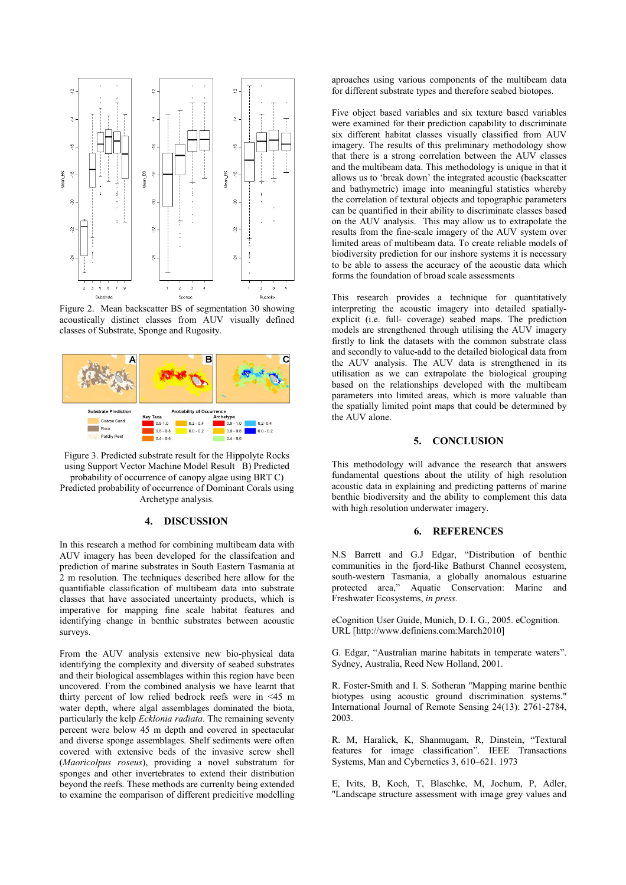

Figure 2. Mean backscatter BS of segmentation 30 showing acoustically distinct classes from AUV visually defined classes of Substrate, Sponge and Rugosity.



Figure 3. Predicted substrate result for the Hippolyte Rocks using Support Vector Machine Model Result B) Predicted probability of occurrence of canopy algae using BRT C) Predicted probability of occurrence of Dominant Corals using Archetype analysis.

#### **4. DISCUSSION**

In this research a method for combining multibeam data with AUV imagery has been developed for the classifcation and prediction of marine substrates in South Eastern Tasmania at 2 m resolution. The techniques described here allow for the quantifiable classification of multibeam data into substrate classes that have associated uncertainty products, which is imperative for mapping fine scale habitat features and identifying change in benthic substrates between acoustic surveys.

From the AUV analysis extensive new bio-physical data identifying the complexity and diversity of seabed substrates and their biological assemblages within this region have been uncovered. From the combined analysis we have learnt that thirty percent of low relied bedrock reefs were in <45 m water depth, where algal assemblages dominated the biota, particularly the kelp *Ecklonia radiata*. The remaining seventy percent were below 45 m depth and covered in spectacular and diverse sponge assemblages. Shelf sediments were often covered with extensive beds of the invasive screw shell (*Maoricolpus roseus*), providing a novel substratum for sponges and other invertebrates to extend their distribution beyond the reefs. These methods are currenlty being extended to examine the comparison of different predicitive modelling aproaches using various components of the multibeam data for different substrate types and therefore seabed biotopes.

Five object based variables and six texture based variables were examined for their prediction capability to discriminate six different habitat classes visually classified from AUV imagery. The results of this preliminary methodology show that there is a strong correlation between the AUV classes and the multibeam data. This methodology is unique in that it allows us to 'break down' the integrated acoustic (backscatter and bathymetric) image into meaningful statistics whereby the correlation of textural objects and topographic parameters can be quantified in their ability to discriminate classes based on the AUV analysis. This may allow us to extrapolate the results from the fine-scale imagery of the AUV system over limited areas of multibeam data. To create reliable models of biodiversity prediction for our inshore systems it is necessary to be able to assess the accuracy of the acoustic data which forms the foundation of broad scale assessments

This research provides a technique for quantitatively interpreting the acoustic imagery into detailed spatiallyexplicit (i.e. full- coverage) seabed maps. The prediction models are strengthened through utilising the AUV imagery firstly to link the datasets with the common substrate class and secondly to value-add to the detailed biological data from the AUV analysis. The AUV data is strengthened in its utilisation as we can extrapolate the biological grouping based on the relationships developed with the multibeam parameters into limited areas, which is more valuable than the spatially limited point maps that could be determined by the AUV alone.

### **5. CONCLUSION**

This methodology will advance the research that answers fundamental questions about the utility of high resolution acoustic data in explaining and predicting patterns of marine benthic biodiversity and the ability to complement this data with high resolution underwater imagery.

#### **6. REFERENCES**

N.S Barrett and G.J Edgar, "Distribution of benthic communities in the fjord-like Bathurst Channel ecosystem, south-western Tasmania, a globally anomalous estuarine protected area," Aquatic Conservation: Marine and Freshwater Ecosystems, *in press.* 

eCognition User Guide, Munich, D. I. G., 2005. eCognition. URL [http://www.definiens.com:March2010]

G. Edgar, "Australian marine habitats in temperate waters". Sydney, Australia, Reed New Holland, 2001.

R. Foster-Smith and I. S. Sotheran "Mapping marine benthic biotypes using acoustic ground discrimination systems." International Journal of Remote Sensing 24(13): 2761-2784, 2003.

R. M, Haralick, K, Shanmugam, R, Dinstein, "Textural features for image classification". IEEE Transactions Systems, Man and Cybernetics 3, 610–621. 1973

E, Ivits, B, Koch, T, Blaschke, M, Jochum, P, Adler, "Landscape structure assessment with image grey values and